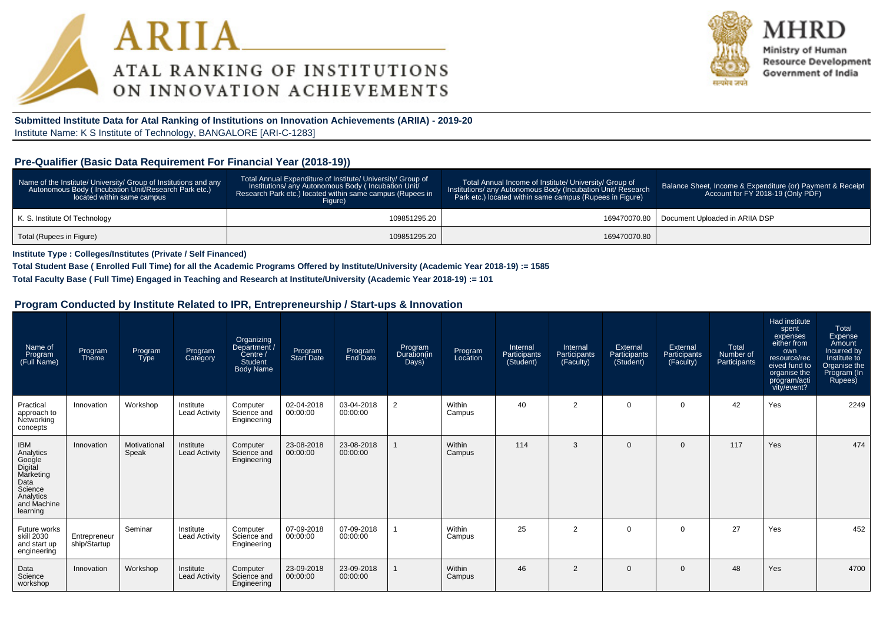



Ministry of Human **Resource Development** Government of India

**Submitted Institute Data for Atal Ranking of Institutions on Innovation Achievements (ARIIA) - 2019-20**Institute Name: K S Institute of Technology, BANGALORE [ARI-C-1283]

#### **Pre-Qualifier (Basic Data Requirement For Financial Year (2018-19))**

| Name of the Institute/ University/ Group of Institutions and any<br>Autonomous Body (Incubation Unit/Research Park etc.)<br>located within same campus | Total Annual Expenditure of Institute/ University/ Group of<br>Institutions/ any Autonomous Body (Incubation Unit/<br>Research Park etc.) located within same campus (Rupees in<br>Figure) | Total Annual Income of Institute/ University/ Group of<br>Institutions/ any Autonomous Body (Incubation Unit/ Research<br>Park etc.) located within same campus (Rupees in Figure) | Balance Sheet, Income & Expenditure (or) Payment & Receipt<br>Account for FY 2018-19 (Only PDF) |
|--------------------------------------------------------------------------------------------------------------------------------------------------------|--------------------------------------------------------------------------------------------------------------------------------------------------------------------------------------------|------------------------------------------------------------------------------------------------------------------------------------------------------------------------------------|-------------------------------------------------------------------------------------------------|
| K. S. Institute Of Technology                                                                                                                          | 109851295.20                                                                                                                                                                               |                                                                                                                                                                                    | 169470070.80   Document Uploaded in ARIIA DSP                                                   |
| Total (Rupees in Figure)                                                                                                                               | 109851295.20                                                                                                                                                                               | 169470070.80                                                                                                                                                                       |                                                                                                 |

**Institute Type : Colleges/Institutes (Private / Self Financed)**

**Total Student Base ( Enrolled Full Time) for all the Academic Programs Offered by Institute/University (Academic Year 2018-19) := 1585**

**Total Faculty Base ( Full Time) Engaged in Teaching and Research at Institute/University (Academic Year 2018-19) := 101**

| Name of<br>Program<br>(Full Name)                                                                                    | Program<br>Theme             | Program<br><b>Type</b> | Program<br>Category               | Organizing<br>Department /<br>Centre /<br><b>Student</b><br><b>Body Name</b> | Program<br><b>Start Date</b> | Program<br>End Date    | Program<br>Duration(in<br>Days) | Program<br>Location | Internal<br>Participants<br>(Student) | Internal<br>Participants<br>(Faculty) | External<br>Participants<br>(Student) | External<br>Participants<br>(Faculty) | Total<br>Number of<br>Participants | Had institute<br>spent<br>expenses<br>either from<br>own<br>resource/rec<br>eived fund to<br>organise the<br>program/acti<br>vity/event? | Total<br>Expense<br>Amount<br>Incurred by<br>Institute to<br>Organise the<br>Program (In<br>Rupees) |
|----------------------------------------------------------------------------------------------------------------------|------------------------------|------------------------|-----------------------------------|------------------------------------------------------------------------------|------------------------------|------------------------|---------------------------------|---------------------|---------------------------------------|---------------------------------------|---------------------------------------|---------------------------------------|------------------------------------|------------------------------------------------------------------------------------------------------------------------------------------|-----------------------------------------------------------------------------------------------------|
| Practical<br>approach to<br>Networking<br>concepts                                                                   | Innovation                   | Workshop               | Institute<br><b>Lead Activity</b> | Computer<br>Science and<br>Engineering                                       | 02-04-2018<br>00:00:00       | 03-04-2018<br>00:00:00 | $\overline{2}$                  | Within<br>Campus    | 40                                    | $\overline{2}$                        | $\Omega$                              | $\mathbf 0$                           | 42                                 | Yes                                                                                                                                      | 2249                                                                                                |
| <b>IBM</b><br>Analytics<br>Google<br>Digital<br>Marketing<br>Data<br>Science<br>Analytics<br>and Machine<br>learning | Innovation                   | Motivationa<br>Speak   | Institute<br><b>Lead Activity</b> | Computer<br>Science and<br>Engineering                                       | 23-08-2018<br>00:00:00       | 23-08-2018<br>00:00:00 |                                 | Within<br>Campus    | 114                                   | 3                                     | $\Omega$                              | $\mathbf{0}$                          | 117                                | Yes                                                                                                                                      | 474                                                                                                 |
| Future works<br>skill 2030<br>and start up<br>engineering                                                            | Entrepreneur<br>ship/Startup | Seminar                | Institute<br><b>Lead Activity</b> | Computer<br>Science and<br>Engineering                                       | 07-09-2018<br>00:00:00       | 07-09-2018<br>00:00:00 |                                 | Within<br>Campus    | 25                                    | $\overline{2}$                        | $\Omega$                              | $\mathbf 0$                           | 27                                 | Yes                                                                                                                                      | 452                                                                                                 |
| Data<br>Science<br>workshop                                                                                          | Innovation                   | Workshop               | Institute<br><b>Lead Activity</b> | Computer<br>Science and<br>Engineering                                       | 23-09-2018<br>00:00:00       | 23-09-2018<br>00:00:00 |                                 | Within<br>Campus    | 46                                    | 2                                     | $\Omega$                              | $\mathbf{0}$                          | 48                                 | Yes                                                                                                                                      | 4700                                                                                                |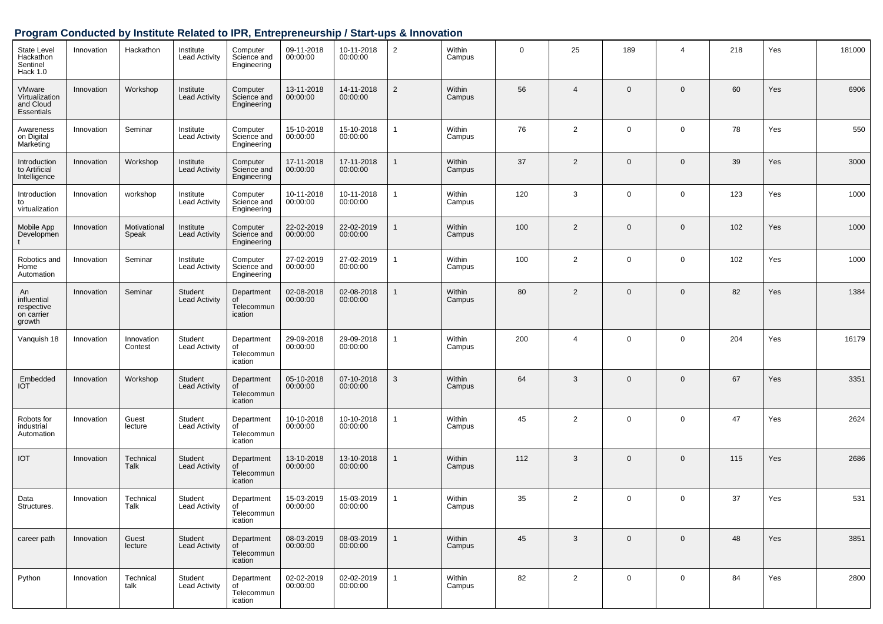| State Level<br>Hackathon<br>Sentinel<br>Hack 1.0        | Innovation | Hackathon             | Institute<br><b>Lead Activity</b> | Computer<br>Science and<br>Engineering    | 09-11-2018<br>00:00:00 | 10-11-2018<br>00:00:00 | $\overline{2}$ | Within<br>Campus | $\mathbf 0$ | 25             | 189            | $\overline{4}$ | 218 | Yes | 181000 |
|---------------------------------------------------------|------------|-----------------------|-----------------------------------|-------------------------------------------|------------------------|------------------------|----------------|------------------|-------------|----------------|----------------|----------------|-----|-----|--------|
| VMware<br>Virtualization<br>and Cloud<br>Essentials     | Innovation | Workshop              | Institute<br><b>Lead Activity</b> | Computer<br>Science and<br>Engineering    | 13-11-2018<br>00:00:00 | 14-11-2018<br>00:00:00 | $\overline{2}$ | Within<br>Campus | 56          | $\overline{4}$ | $\overline{0}$ | $\mathbf{0}$   | 60  | Yes | 6906   |
| Awareness<br>on Digital<br>Marketing                    | Innovation | Seminar               | Institute<br><b>Lead Activity</b> | Computer<br>Science and<br>Engineering    | 15-10-2018<br>00:00:00 | 15-10-2018<br>00:00:00 | 1              | Within<br>Campus | 76          | $\overline{2}$ | $\mathbf 0$    | $\mathbf 0$    | 78  | Yes | 550    |
| Introduction<br>to Artificial<br>Intelligence           | Innovation | Workshop              | Institute<br><b>Lead Activity</b> | Computer<br>Science and<br>Engineering    | 17-11-2018<br>00:00:00 | 17-11-2018<br>00:00:00 | $\mathbf{1}$   | Within<br>Campus | 37          | 2              | $\mathbf 0$    | $\mathbf{0}$   | 39  | Yes | 3000   |
| Introduction<br>to<br>virtualization                    | Innovation | workshop              | Institute<br><b>Lead Activity</b> | Computer<br>Science and<br>Engineering    | 10-11-2018<br>00:00:00 | 10-11-2018<br>00:00:00 | 1              | Within<br>Campus | 120         | 3              | $\mathbf 0$    | $\mathbf 0$    | 123 | Yes | 1000   |
| Mobile App<br>Developmen                                | Innovation | Motivational<br>Speak | Institute<br><b>Lead Activity</b> | Computer<br>Science and<br>Engineering    | 22-02-2019<br>00:00:00 | 22-02-2019<br>00:00:00 | $\mathbf{1}$   | Within<br>Campus | 100         | $\overline{2}$ | $\mathbf 0$    | $\mathbf{0}$   | 102 | Yes | 1000   |
| Robotics and<br>Home<br>Automation                      | Innovation | Seminar               | Institute<br><b>Lead Activity</b> | Computer<br>Science and<br>Engineering    | 27-02-2019<br>00:00:00 | 27-02-2019<br>00:00:00 | 1              | Within<br>Campus | 100         | $\overline{2}$ | $\mathbf 0$    | $\mathbf 0$    | 102 | Yes | 1000   |
| An<br>influential<br>respective<br>on carrier<br>growth | Innovation | Seminar               | Student<br><b>Lead Activity</b>   | Department<br>οf<br>Telecommun<br>ication | 02-08-2018<br>00:00:00 | 02-08-2018<br>00:00:00 |                | Within<br>Campus | 80          | 2              | $\mathbf 0$    | $\mathbf{0}$   | 82  | Yes | 1384   |
| Vanquish 18                                             | Innovation | Innovation<br>Contest | Student<br><b>Lead Activity</b>   | Department<br>οf<br>Telecommun<br>ication | 29-09-2018<br>00:00:00 | 29-09-2018<br>00:00:00 | 1              | Within<br>Campus | 200         | $\overline{4}$ | $\Omega$       | $\mathbf 0$    | 204 | Yes | 16179  |
| Embedded<br><b>IOT</b>                                  | Innovation | Workshop              | Student<br><b>Lead Activity</b>   | Department<br>of<br>Telecommun<br>ication | 05-10-2018<br>00:00:00 | 07-10-2018<br>00:00:00 | 3              | Within<br>Campus | 64          | 3              | $\overline{0}$ | $\mathbf{0}$   | 67  | Yes | 3351   |
| Robots for<br>industrial<br>Automation                  | Innovation | Guest<br>lecture      | Student<br><b>Lead Activity</b>   | Department<br>of<br>Telecommun<br>ication | 10-10-2018<br>00:00:00 | 10-10-2018<br>00:00:00 | 1              | Within<br>Campus | 45          | $\overline{2}$ | $\mathbf 0$    | $\mathbf 0$    | 47  | Yes | 2624   |
| <b>IOT</b>                                              | Innovation | Technical<br>Talk     | Student<br><b>Lead Activity</b>   | Department<br>Ωt<br>Telecommun<br>ication | 13-10-2018<br>00:00:00 | 13-10-2018<br>00:00:00 |                | Within<br>Campus | 112         | 3              | $\Omega$       | $\mathbf{0}$   | 115 | Yes | 2686   |
| Data<br>Structures.                                     | Innovation | Technical<br>Talk     | Student<br><b>Lead Activity</b>   | Department<br>of<br>Telecommun<br>ication | 15-03-2019<br>00:00:00 | 15-03-2019<br>00:00:00 | $\mathbf{1}$   | Within<br>Campus | 35          | $\overline{2}$ | $\mathbf 0$    | 0              | 37  | Yes | 531    |
| career path                                             | Innovation | Guest<br>lecture      | Student<br><b>Lead Activity</b>   | Department<br>of<br>Telecommun<br>ication | 08-03-2019<br>00:00:00 | 08-03-2019<br>00:00:00 | $\mathbf{1}$   | Within<br>Campus | 45          | $\mathbf{3}$   | $\mathbf{0}$   | $\overline{0}$ | 48  | Yes | 3851   |
| Python                                                  | Innovation | Technical<br>talk     | Student<br><b>Lead Activity</b>   | Department<br>οt<br>Telecommun<br>ication | 02-02-2019<br>00:00:00 | 02-02-2019<br>00:00:00 | $\mathbf{1}$   | Within<br>Campus | 82          | $\overline{2}$ | $\mathbf 0$    | $\mathbf 0$    | 84  | Yes | 2800   |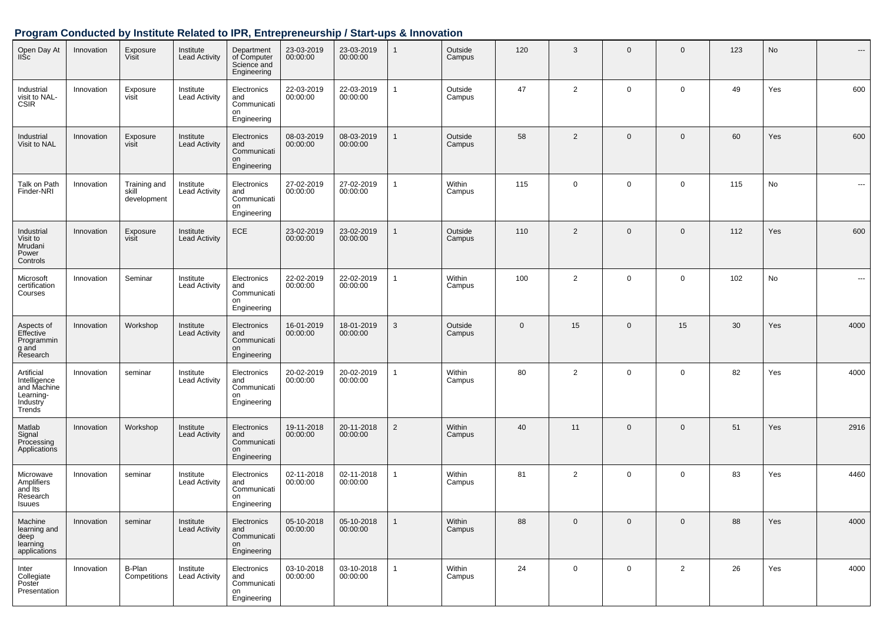| Open Day At<br><b>II</b> Sc                                                         | Innovation | Exposure<br>Visit                    | Institute<br><b>Lead Activity</b> | Department<br>of Computer<br>Science and<br>Engineering | 23-03-2019<br>00:00:00 | 23-03-2019<br>00:00:00 | $\mathbf{1}$   | Outside<br>Campus | 120         | 3              | $\mathbf 0$    | $\mathbf 0$    | 123 | No  | ---           |
|-------------------------------------------------------------------------------------|------------|--------------------------------------|-----------------------------------|---------------------------------------------------------|------------------------|------------------------|----------------|-------------------|-------------|----------------|----------------|----------------|-----|-----|---------------|
| Industrial<br>visit to NAL-<br><b>CSIR</b>                                          | Innovation | Exposure<br>visit                    | Institute<br>Lead Activity        | Electronics<br>and<br>Communicati<br>on<br>Engineering  | 22-03-2019<br>00:00:00 | 22-03-2019<br>00:00:00 | $\mathbf{1}$   | Outside<br>Campus | 47          | $\overline{2}$ | $\mathbf 0$    | $\mathbf 0$    | 49  | Yes | 600           |
| Industrial<br>Visit to NAL                                                          | Innovation | Exposure<br>visit                    | Institute<br>Lead Activity        | Electronics<br>and<br>Communicati<br>on<br>Engineering  | 08-03-2019<br>00:00:00 | 08-03-2019<br>00:00:00 |                | Outside<br>Campus | 58          | $\overline{2}$ | $\mathbf 0$    | $\mathbf 0$    | 60  | Yes | 600           |
| Talk on Path<br>Finder-NRI                                                          | Innovation | Training and<br>skill<br>development | Institute<br>Lead Activity        | Electronics<br>and<br>Communicati<br>on<br>Engineering  | 27-02-2019<br>00:00:00 | 27-02-2019<br>00:00:00 | 1              | Within<br>Campus  | 115         | $\mathbf 0$    | $\mathbf 0$    | $\mathbf 0$    | 115 | No  | ---           |
| Industrial<br>Visit to<br>Mrudani<br>Power<br>Controls                              | Innovation | Exposure<br>visit                    | Institute<br><b>Lead Activity</b> | ECE                                                     | 23-02-2019<br>00:00:00 | 23-02-2019<br>00:00:00 |                | Outside<br>Campus | 110         | $\overline{2}$ | $\mathbf 0$    | $\mathbf 0$    | 112 | Yes | 600           |
| Microsoft<br>certification<br>Courses                                               | Innovation | Seminar                              | Institute<br><b>Lead Activity</b> | Electronics<br>and<br>Communicati<br>on<br>Engineering  | 22-02-2019<br>00:00:00 | 22-02-2019<br>00:00:00 | 1              | Within<br>Campus  | 100         | $\overline{2}$ | $\mathbf 0$    | $\mathbf 0$    | 102 | No  | $\sim$ $\sim$ |
| Aspects of<br>Effective<br>Programmin<br>g and<br>Research                          | Innovation | Workshop                             | Institute<br><b>Lead Activity</b> | Electronics<br>and<br>Communicati<br>on<br>Engineering  | 16-01-2019<br>00:00:00 | 18-01-2019<br>00:00:00 | 3              | Outside<br>Campus | $\mathbf 0$ | 15             | $\overline{0}$ | 15             | 30  | Yes | 4000          |
| Artificial<br>Intelligence<br>and Machine<br>Learning-<br>Industry<br><b>Trends</b> | Innovation | seminar                              | Institute<br><b>Lead Activity</b> | Electronics<br>and<br>Communicati<br>on<br>Engineering  | 20-02-2019<br>00:00:00 | 20-02-2019<br>00:00:00 | 1              | Within<br>Campus  | 80          | $\overline{2}$ | $\mathbf 0$    | $\mathbf 0$    | 82  | Yes | 4000          |
| Matlab<br>Signal<br>Processing<br>Applications                                      | Innovation | Workshop                             | Institute<br><b>Lead Activity</b> | Electronics<br>and<br>Communicati<br>on<br>Engineering  | 19-11-2018<br>00:00:00 | 20-11-2018<br>00:00:00 | $\overline{2}$ | Within<br>Campus  | 40          | 11             | $\overline{0}$ | $\mathbf 0$    | 51  | Yes | 2916          |
| Microwave<br>Amplifiers<br>and Its<br>Research<br>Isuues                            | Innovation | seminar                              | Institute<br><b>Lead Activity</b> | Electronics<br>and<br>Communicati<br>on<br>Engineering  | 02-11-2018<br>00:00:00 | 02-11-2018<br>00:00:00 | 1              | Within<br>Campus  | 81          | $\overline{2}$ | $\mathbf 0$    | 0              | 83  | Yes | 4460          |
| Machine<br>learning and<br>deep<br>learning<br>applications                         | Innovation | seminar                              | Institute<br><b>Lead Activity</b> | Electronics<br>and<br>Communicati<br>on<br>Engineering  | 05-10-2018<br>00:00:00 | 05-10-2018<br>00:00:00 | $\mathbf{1}$   | Within<br>Campus  | 88          | $\mathbf 0$    | $\overline{0}$ | $\mathbf 0$    | 88  | Yes | 4000          |
| Inter<br>Collegiate<br>Poster<br>Presentation                                       | Innovation | B-Plan<br>Competitions               | Institute<br><b>Lead Activity</b> | Electronics<br>and<br>Communicati<br>on<br>Engineering  | 03-10-2018<br>00:00:00 | 03-10-2018<br>00:00:00 | 1              | Within<br>Campus  | 24          | $\mathsf{O}$   | $\mathbf 0$    | $\overline{2}$ | 26  | Yes | 4000          |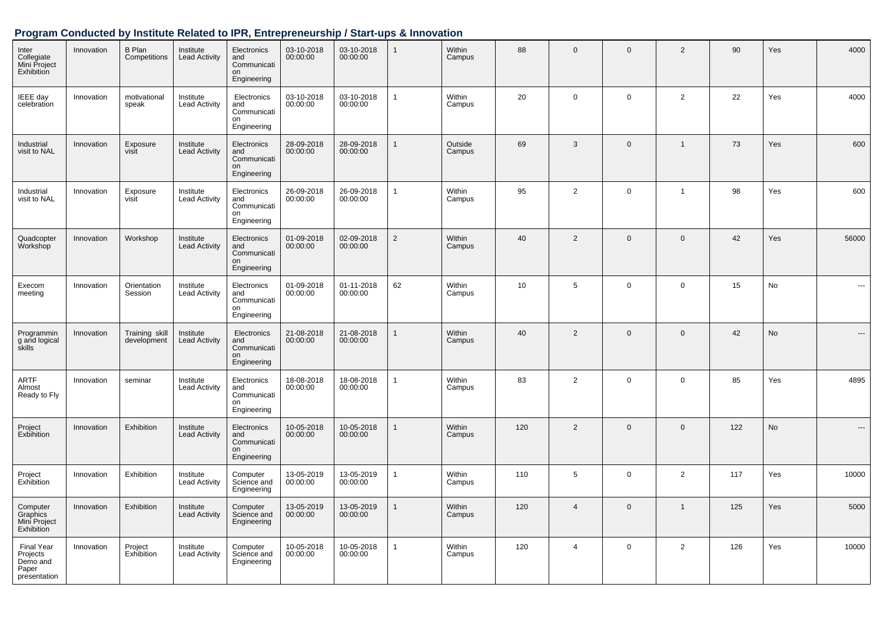| Inter<br>Collegiate<br>Mini Project<br>Exhibition                  | Innovation | <b>B</b> Plan<br>Competitions | Institute<br><b>Lead Activity</b> | Electronics<br>and<br>Communicati<br>on<br>Engineering | 03-10-2018<br>00:00:00 | 03-10-2018<br>00:00:00 |                | Within<br>Campus  | 88  | $\mathbf{0}$   | $\mathbf 0$ | 2              | 90  | Yes       | 4000                     |
|--------------------------------------------------------------------|------------|-------------------------------|-----------------------------------|--------------------------------------------------------|------------------------|------------------------|----------------|-------------------|-----|----------------|-------------|----------------|-----|-----------|--------------------------|
| IEEE day<br>celebration                                            | Innovation | motivational<br>speak         | Institute<br><b>Lead Activity</b> | Electronics<br>and<br>Communicati<br>on<br>Engineering | 03-10-2018<br>00:00:00 | 03-10-2018<br>00:00:00 |                | Within<br>Campus  | 20  | $\mathbf 0$    | 0           | 2              | 22  | Yes       | 4000                     |
| Industrial<br>visit to NAL                                         | Innovation | Exposure<br>visit             | Institute<br><b>Lead Activity</b> | Electronics<br>and<br>Communicati<br>on<br>Engineering | 28-09-2018<br>00:00:00 | 28-09-2018<br>00:00:00 |                | Outside<br>Campus | 69  | 3              | $\Omega$    | $\mathbf{1}$   | 73  | Yes       | 600                      |
| Industrial<br>visit to NAL                                         | Innovation | Exposure<br>visit             | Institute<br><b>Lead Activity</b> | Electronics<br>and<br>Communicati<br>on<br>Engineering | 26-09-2018<br>00:00:00 | 26-09-2018<br>00:00:00 |                | Within<br>Campus  | 95  | $\overline{2}$ | $\mathbf 0$ | $\mathbf{1}$   | 98  | Yes       | 600                      |
| Quadcopter<br>Workshop                                             | Innovation | Workshop                      | Institute<br><b>Lead Activity</b> | Electronics<br>and<br>Communicati<br>on<br>Engineering | 01-09-2018<br>00:00:00 | 02-09-2018<br>00:00:00 | $\overline{2}$ | Within<br>Campus  | 40  | 2              | $\Omega$    | $\mathbf 0$    | 42  | Yes       | 56000                    |
| Execom<br>meeting                                                  | Innovation | Orientation<br>Session        | Institute<br><b>Lead Activity</b> | Electronics<br>and<br>Communicati<br>on<br>Engineering | 01-09-2018<br>00:00:00 | 01-11-2018<br>00:00:00 | 62             | Within<br>Campus  | 10  | 5              | $\mathbf 0$ | $\mathbf 0$    | 15  | No        | ---                      |
| Programmin<br>g and logical<br>skills                              | Innovation | Training skill<br>development | Institute<br><b>Lead Activity</b> | Electronics<br>and<br>Communicati<br>on<br>Engineering | 21-08-2018<br>00:00:00 | 21-08-2018<br>00:00:00 |                | Within<br>Campus  | 40  | 2              | $\Omega$    | $\mathbf 0$    | 42  | <b>No</b> | $\hspace{0.05cm} \ldots$ |
| <b>ARTF</b><br>Almost<br>Ready to Fly                              | Innovation | seminar                       | Institute<br><b>Lead Activity</b> | Electronics<br>and<br>Communicati<br>on<br>Engineering | 18-08-2018<br>00:00:00 | 18-08-2018<br>00:00:00 |                | Within<br>Campus  | 83  | $\overline{2}$ | $\mathbf 0$ | $\mathbf 0$    | 85  | Yes       | 4895                     |
| Project<br>Exbihition                                              | Innovation | Exhibition                    | Institute<br><b>Lead Activity</b> | Electronics<br>and<br>Communicati<br>on<br>Engineering | 10-05-2018<br>00:00:00 | 10-05-2018<br>00:00:00 |                | Within<br>Campus  | 120 | 2              | $\Omega$    | $\mathbf 0$    | 122 | <b>No</b> | $\hspace{0.05cm} \cdots$ |
| Project<br>Exhibition                                              | Innovation | Exhibition                    | Institute<br><b>Lead Activity</b> | Computer<br>Science and<br>Engineering                 | 13-05-2019<br>00:00:00 | 13-05-2019<br>00:00:00 |                | Within<br>Campus  | 110 | 5              | $\Omega$    | $\overline{2}$ | 117 | Yes       | 10000                    |
| Computer<br>Graphics<br>Mini Project<br>Exhibition                 | Innovation | Exhibition                    | Institute<br><b>Lead Activity</b> | Computer<br>Science and<br>Engineering                 | 13-05-2019<br>00:00:00 | 13-05-2019<br>00:00:00 |                | Within<br>Campus  | 120 | $\overline{4}$ | $\Omega$    | 1              | 125 | Yes       | 5000                     |
| <b>Final Year</b><br>Projects<br>Demo and<br>Paper<br>presentation | Innovation | Project<br>Exhibition         | Institute<br><b>Lead Activity</b> | Computer<br>Science and<br>Engineering                 | 10-05-2018<br>00:00:00 | 10-05-2018<br>00:00:00 |                | Within<br>Campus  | 120 | $\overline{4}$ | $\mathbf 0$ | 2              | 126 | Yes       | 10000                    |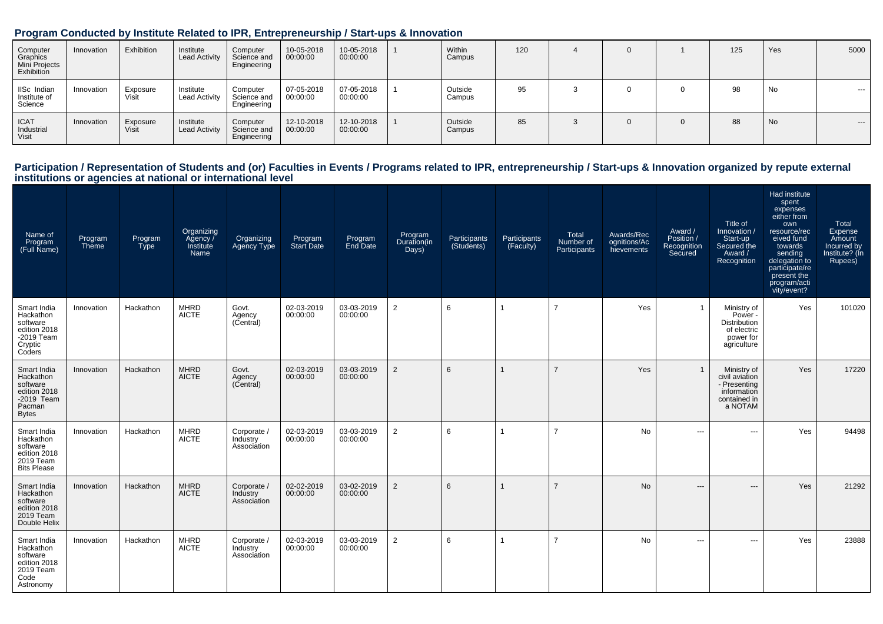| Computer<br>Graphics<br>Mini Projects<br>Exhibition | Innovation | Exhibition        | Institute<br><b>Lead Activity</b> | Computer<br>Science and<br>Engineering | 10-05-2018<br>00:00:00 | 10-05-2018<br>00:00:00 | Within<br>Campus  | 120 |  | 125 | Yes | 5000    |
|-----------------------------------------------------|------------|-------------------|-----------------------------------|----------------------------------------|------------------------|------------------------|-------------------|-----|--|-----|-----|---------|
| IISc Indian<br>Institute of<br>Science              | Innovation | Exposure<br>Visit | Institute<br><b>Lead Activity</b> | Computer<br>Science and<br>Engineering | 07-05-2018<br>00:00:00 | 07-05-2018<br>00:00:00 | Outside<br>Campus | 95  |  |     | No  | $- - -$ |
| <b>ICAT</b><br>Industrial<br>Visit                  | Innovation | Exposure<br>Visit | Institute<br><b>Lead Activity</b> | Computer<br>Science and<br>Engineering | 12-10-2018<br>00:00:00 | 12-10-2018<br>00:00:00 | Outside<br>Campus | 85  |  | 88  | No  | $--$    |

| Name of<br>Program<br>(Full Name)                                                            | Program<br>Theme | Program<br><b>Type</b> | Organizing<br>Agency /<br>Institute<br>Name | Organizing<br><b>Agency Type</b>       | Program<br><b>Start Date</b> | Program<br>End Date    | Program<br>Duration(in<br>Days) | Participants<br>(Students) | Participants<br>(Faculty) | Total<br>Number of<br>Participants | Awards/Rec<br>ognitions/Ac<br>hievements | Award /<br>Position /<br>Recognition<br>Secured | Title of<br>Innovation /<br>Start-up<br>Secured the<br>Award /<br>Recognition            | Had institute<br>spent<br>expenses<br>either from<br>own<br>resource/rec<br>eived fund<br>towards<br>sending<br>delegation to<br>participate/re<br>present the<br>program/acti<br>vity/event? | Total<br><b>Expense</b><br>Amount<br>Incurred by<br>Institute? (In<br>Rupees) |
|----------------------------------------------------------------------------------------------|------------------|------------------------|---------------------------------------------|----------------------------------------|------------------------------|------------------------|---------------------------------|----------------------------|---------------------------|------------------------------------|------------------------------------------|-------------------------------------------------|------------------------------------------------------------------------------------------|-----------------------------------------------------------------------------------------------------------------------------------------------------------------------------------------------|-------------------------------------------------------------------------------|
| Smart India<br>Hackathon<br>software<br>edition 2018<br>-2019 Team<br>Cryptic<br>Coders      | Innovation       | Hackathon              | <b>MHRD</b><br><b>AICTE</b>                 | Govt.<br>Agency<br>(Central)           | 02-03-2019<br>00:00:00       | 03-03-2019<br>00:00:00 | 2                               | 6                          |                           | $\overline{7}$                     | Yes                                      | $\mathbf{1}$                                    | Ministry of<br>Power -<br><b>Distribution</b><br>of electric<br>power for<br>agriculture | Yes                                                                                                                                                                                           | 101020                                                                        |
| Smart India<br>Hackathon<br>software<br>edition 2018<br>-2019 Team<br>Pacman<br><b>Bytes</b> | Innovation       | Hackathon              | <b>MHRD</b><br><b>AICTE</b>                 | Govt.<br>Agency<br>(Central)           | 02-03-2019<br>00:00:00       | 03-03-2019<br>00:00:00 | 2                               | 6                          |                           | $\overline{7}$                     | Yes                                      | $\overline{1}$                                  | Ministry of<br>civil aviation<br>- Presenting<br>information<br>contained in<br>a NOTAM  | Yes                                                                                                                                                                                           | 17220                                                                         |
| Smart India<br>Hackathon<br>software<br>edition 2018<br>2019 Team<br><b>Bits Please</b>      | Innovation       | Hackathon              | <b>MHRD</b><br><b>AICTE</b>                 | Corporate /<br>Industry<br>Association | 02-03-2019<br>00:00:00       | 03-03-2019<br>00:00:00 | 2                               | 6                          | $\overline{1}$            | 7                                  | No                                       | $\cdots$                                        | $\overline{a}$                                                                           | Yes                                                                                                                                                                                           | 94498                                                                         |
| Smart India<br>Hackathon<br>software<br>edition 2018<br>2019 Team<br>Double Helix            | Innovation       | Hackathon              | <b>MHRD</b><br><b>AICTE</b>                 | Corporate /<br>Industry<br>Association | 02-02-2019<br>00:00:00       | 03-02-2019<br>00:00:00 | $\overline{2}$                  | 6                          |                           | $\overline{7}$                     | <b>No</b>                                | $---$                                           | ---                                                                                      | Yes                                                                                                                                                                                           | 21292                                                                         |
| Smart India<br>Hackathon<br>software<br>edition 2018<br>2019 Team<br>Code<br>Astronomy       | Innovation       | Hackathon              | <b>MHRD</b><br><b>AICTE</b>                 | Corporate /<br>Industry<br>Association | 02-03-2019<br>00:00:00       | 03-03-2019<br>00:00:00 | $\overline{2}$                  | 6                          |                           | 7                                  | No                                       | $---$                                           | $\overline{\phantom{a}}$                                                                 | Yes                                                                                                                                                                                           | 23888                                                                         |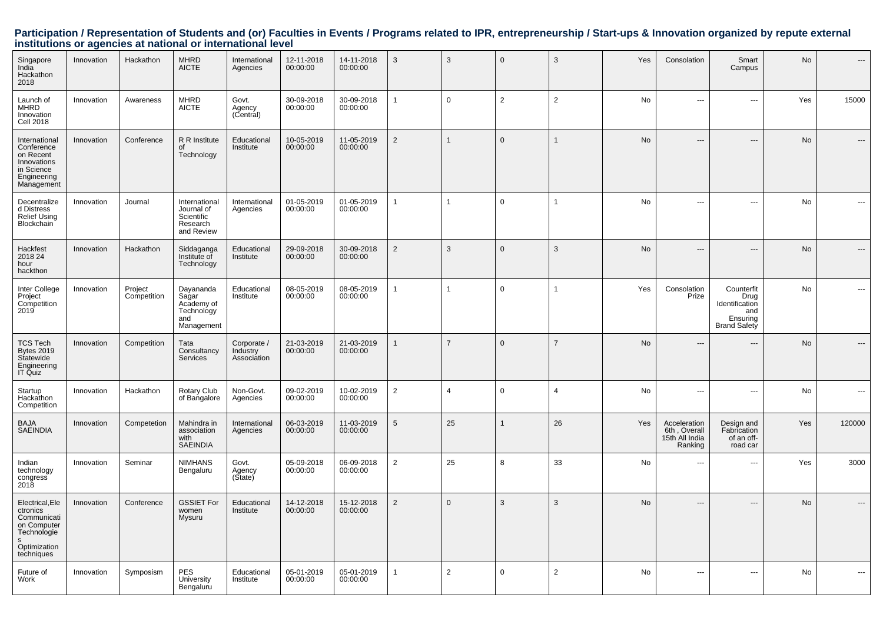| Singapore<br>India<br>Hackathon<br>2018                                                                | Innovation | Hackathon              | <b>MHRD</b><br><b>AICTE</b>                                         | International<br>Agencies              | 12-11-2018<br>00:00:00 | 14-11-2018<br>00:00:00 | 3               | 3              | $\mathbf 0$  | 3              | Yes       | Consolation                                               | Smart<br>Campus                                                                | No        |                |
|--------------------------------------------------------------------------------------------------------|------------|------------------------|---------------------------------------------------------------------|----------------------------------------|------------------------|------------------------|-----------------|----------------|--------------|----------------|-----------|-----------------------------------------------------------|--------------------------------------------------------------------------------|-----------|----------------|
| Launch of<br><b>MHRD</b><br>Innovation<br><b>Cell 2018</b>                                             | Innovation | Awareness              | <b>MHRD</b><br><b>AICTE</b>                                         | Govt.<br>Agency<br>(Central)           | 30-09-2018<br>00:00:00 | 30-09-2018<br>00:00:00 | $\mathbf{1}$    | $\mathbf 0$    | 2            | 2              | No        | $\overline{a}$                                            | ---                                                                            | Yes       | 15000          |
| International<br>Conference<br>on Recent<br>Innovations<br>in Science<br>Engineering<br>Management     | Innovation | Conference             | R R Institute<br>of<br>Technology                                   | Educational<br>Institute               | 10-05-2019<br>00:00:00 | 11-05-2019<br>00:00:00 | 2               | 1              | $\mathbf 0$  | 1              | No        | ---                                                       | ---                                                                            | No        | ---            |
| Decentralize<br>d Distress<br>Relief Using<br>Blockchain                                               | Innovation | Journal                | International<br>Journal of<br>Scientific<br>Research<br>and Review | International<br>Agencies              | 01-05-2019<br>00:00:00 | 01-05-2019<br>00:00:00 | 1               | $\mathbf{1}$   | $\mathbf 0$  | 1              | <b>No</b> | ---                                                       | $\overline{a}$                                                                 | <b>No</b> | $\overline{a}$ |
| Hackfest<br>2018 24<br>hour<br>hackthon                                                                | Innovation | Hackathon              | Siddaganga<br>Institute of<br>Technology                            | Educational<br>Institute               | 29-09-2018<br>00:00:00 | 30-09-2018<br>00:00:00 | $\overline{2}$  | 3              | $\mathbf{0}$ | 3              | No        | ---                                                       | ---                                                                            | No        | ---            |
| Inter College<br>Project<br>Competition<br>2019                                                        | Innovation | Project<br>Competition | Dayananda<br>Sagar<br>Academy of<br>Technology<br>and<br>Management | Educational<br>Institute               | 08-05-2019<br>00:00:00 | 08-05-2019<br>00:00:00 | $\overline{1}$  |                | $\mathbf 0$  |                | Yes       | Consolation<br>Prize                                      | Counterfit<br>Drug<br>Identification<br>and<br>Ensuring<br><b>Brand Safety</b> | No        | $\sim$ $\sim$  |
| <b>TCS Tech</b><br><b>Bytes 2019</b><br>Statewide<br>Engineering<br>IT Quiz                            | Innovation | Competition            | Tata<br>Consultancy<br>Services                                     | Corporate /<br>Industry<br>Association | 21-03-2019<br>00:00:00 | 21-03-2019<br>00:00:00 | 1               |                | $\mathbf 0$  | $\overline{7}$ | No        | $\overline{a}$                                            | $---$                                                                          | No        | $---$          |
| Startup<br>Hackathon<br>Competition                                                                    | Innovation | Hackathon              | Rotary Club<br>of Bangalore                                         | Non-Govt.<br>Agencies                  | 09-02-2019<br>00:00:00 | 10-02-2019<br>00:00:00 | $\overline{2}$  | $\overline{4}$ | $\mathbf 0$  | $\overline{4}$ | No        | ---                                                       | $\overline{\phantom{a}}$                                                       | No        | ---            |
| <b>BAJA</b><br><b>SAEINDIA</b>                                                                         | Innovation | Competetion            | Mahindra in<br>association<br>with<br><b>SAEINDIA</b>               | International<br>Agencies              | 06-03-2019<br>00:00:00 | 11-03-2019<br>00:00:00 | $5\phantom{.0}$ | 25             | $\mathbf{1}$ | 26             | Yes       | Acceleration<br>6th, Overall<br>15th All India<br>Ranking | Design and<br>Fabrication<br>of an off-<br>road car                            | Yes       | 120000         |
| Indian<br>technology<br>congress<br>2018                                                               | Innovation | Seminar                | <b>NIMHANS</b><br>Bengaluru                                         | Govt.<br>Agency<br>(Sitate)            | 05-09-2018<br>00:00:00 | 06-09-2018<br>00:00:00 | 2               | 25             | 8            | 33             | No        | $\overline{a}$                                            | $\overline{a}$                                                                 | Yes       | 3000           |
| Electrical, Ele<br>ctronics<br>Communicati<br>on Computer<br>Technologie<br>Optimization<br>techniques | Innovation | Conference             | <b>GSSIET For</b><br>women<br>Mysuru                                | Educational<br>Institute               | 14-12-2018<br>00:00:00 | 15-12-2018<br>00:00:00 | $\overline{2}$  | $\Omega$       | 3            | 3              | No        | ---                                                       | ---                                                                            | No        | ---            |
| Future of<br>Work                                                                                      | Innovation | Symposism              | PES<br>University<br>Bengaluru                                      | Educational<br>Institute               | 05-01-2019<br>00:00:00 | 05-01-2019<br>00:00:00 | 1               | $\overline{2}$ | $\mathbf 0$  | $\overline{2}$ | No        | ---                                                       | $\hspace{0.05cm} \ldots$                                                       | No        | ---            |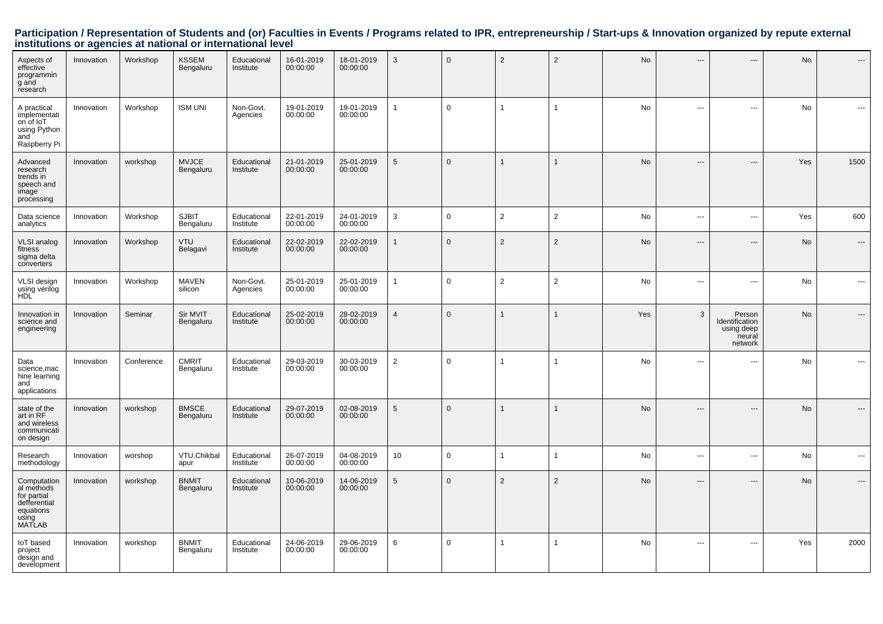| Aspects of<br>effective<br>programmin<br>g and<br>research                               | Innovation | Workshop   | <b>KSSEM</b><br>Bengaluru | Educational<br>Institute | 16-01-2019<br>00:00:00 | 18-01-2019<br>00:00:00 | 3               | $\Omega$     | $\overline{2}$ | $\overline{2}$ | No        |                |                                                             | <b>No</b> |                          |
|------------------------------------------------------------------------------------------|------------|------------|---------------------------|--------------------------|------------------------|------------------------|-----------------|--------------|----------------|----------------|-----------|----------------|-------------------------------------------------------------|-----------|--------------------------|
| A practical<br>implementati<br>on of IoT<br>using Python<br>and<br>Raspberry Pi          | Innovation | Workshop   | <b>ISM UNI</b>            | Non-Govt.<br>Agencies    | 19-01-2019<br>00:00:00 | 19-01-2019<br>00:00:00 | $\mathbf{1}$    | $\mathbf 0$  | $\overline{1}$ | $\overline{1}$ | No        | $\sim$         | $\sim$ $\sim$                                               | No        | $\sim$                   |
| Advanced<br>research<br>trends in<br>speech and<br>image<br>processing                   | Innovation | workshop   | <b>MVJCE</b><br>Bengaluru | Educational<br>Institute | 21-01-2019<br>00:00:00 | 25-01-2019<br>00:00:00 | $5\phantom{.0}$ | $\Omega$     | 1              | $\overline{1}$ | No        | $\overline{a}$ | $\hspace{0.05cm} \ldots$                                    | Yes       | 1500                     |
| Data science<br>analytics                                                                | Innovation | Workshop   | <b>SJBIT</b><br>Bengaluru | Educational<br>Institute | 22-01-2019<br>00:00:00 | 24-01-2019<br>00:00:00 | $\mathbf{3}$    | $\mathbf 0$  | $\overline{2}$ | $\overline{2}$ | No        | $\cdots$       | $\hspace{0.05cm} \ldots$                                    | Yes       | 600                      |
| VLSI analog<br>fitness<br>sigma delta<br>converters                                      | Innovation | Workshop   | <b>VTU</b><br>Belagavi    | Educational<br>Institute | 22-02-2019<br>00:00:00 | 22-02-2019<br>00:00:00 | $\mathbf{1}$    | $\Omega$     | $\overline{2}$ | $\overline{2}$ | <b>No</b> | $---$          | $\overline{a}$                                              | No        | $\qquad \qquad \cdots$   |
| VLSI design<br>using verilog<br>HDL <sup>®</sup>                                         | Innovation | Workshop   | <b>MAVEN</b><br>silicon   | Non-Govt.<br>Agencies    | 25-01-2019<br>00:00:00 | 25-01-2019<br>00:00:00 | $\mathbf{1}$    | $\mathbf 0$  | $\overline{2}$ | $\overline{2}$ | No        | $\sim$ $\sim$  | $---$                                                       | No        | $\overline{\phantom{a}}$ |
| Innovation in<br>science and<br>engineering                                              | Innovation | Seminar    | Sir MVIT<br>Bengaluru     | Educational<br>Institute | 25-02-2019<br>00:00:00 | 28-02-2019<br>00:00:00 | $\overline{4}$  | $\Omega$     | 1              | $\mathbf{1}$   | Yes       | 3              | Person<br>Identification<br>using deep<br>neural<br>network | No        | $\qquad \qquad \cdots$   |
| Data<br>science, mac<br>hine learning<br>and<br>applications                             | Innovation | Conference | <b>CMRIT</b><br>Bengaluru | Educational<br>Institute | 29-03-2019<br>00:00:00 | 30-03-2019<br>00:00:00 | $\sqrt{2}$      | $\mathbf 0$  | 1              | 1              | No        | $---$          | ---                                                         | <b>No</b> | $\hspace{0.05cm} \ldots$ |
| state of the<br>art in RF<br>and wireless<br>communicati<br>on design                    | Innovation | workshop   | <b>BMSCE</b><br>Bengaluru | Educational<br>Institute | 29-07-2019<br>00:00:00 | 02-08-2019<br>00:00:00 | 5               | $\Omega$     | $\mathbf{1}$   | $\overline{1}$ | <b>No</b> | $---$          | $\overline{a}$                                              | <b>No</b> | $---$                    |
| Research<br>methodology                                                                  | Innovation | worshop    | VTU, Chikbal<br>apur      | Educational<br>Institute | 26-07-2019<br>00:00:00 | 04-08-2019<br>00:00:00 | 10              | $\mathbf 0$  | $\mathbf{1}$   | $\overline{1}$ | No        | $\sim$         | $\mathbf{L}$                                                | No        | $---$                    |
| Computation<br>al methods<br>for partial<br>defferential<br>equations<br>using<br>MATLAB | Innovation | workshop   | <b>BNMIT</b><br>Bengaluru | Educational<br>Institute | 10-06-2019<br>00:00:00 | 14-06-2019<br>00:00:00 | $5\phantom{.0}$ | $\mathbf{0}$ | $\overline{2}$ | $\overline{2}$ | No        | ---            | $\hspace{0.05cm} \ldots$                                    | <b>No</b> | $\hspace{0.05cm} \ldots$ |
| <b>IoT</b> based<br>project<br>design and<br>development                                 | Innovation | workshop   | <b>BNMIT</b><br>Bengaluru | Educational<br>Institute | 24-06-2019<br>00:00:00 | 29-06-2019<br>00:00:00 | 6               | $\mathbf 0$  | $\mathbf{1}$   | -1             | No        | $\sim$ $\sim$  | $\cdots$                                                    | Yes       | 2000                     |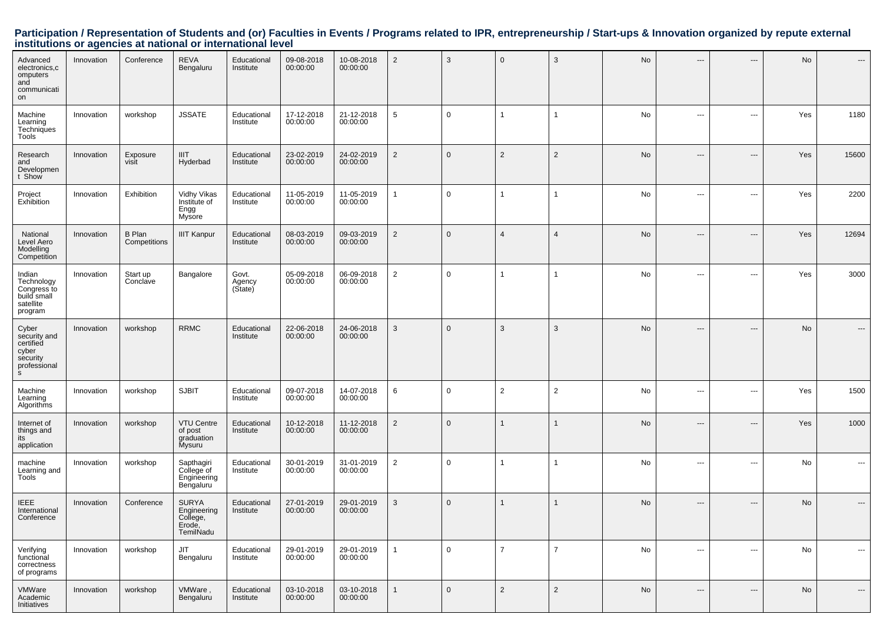| Advanced<br>electronics,c<br>omputers<br>and<br>communicati<br>on            | Innovation | Conference                    | <b>REVA</b><br>Bengaluru                                       | Educational<br>Institute   | 09-08-2018<br>00:00:00 | 10-08-2018<br>00:00:00 | $\overline{2}$  | 3            | $\Omega$       | 3              | No | ---                      | ---                           | No  |                          |
|------------------------------------------------------------------------------|------------|-------------------------------|----------------------------------------------------------------|----------------------------|------------------------|------------------------|-----------------|--------------|----------------|----------------|----|--------------------------|-------------------------------|-----|--------------------------|
| Machine<br>Learning<br>Techniques<br>Tools                                   | Innovation | workshop                      | JSSATE                                                         | Educational<br>Institute   | 17-12-2018<br>00:00:00 | 21-12-2018<br>00:00:00 | $5\phantom{.0}$ | $\mathbf 0$  | $\mathbf{1}$   | $\overline{1}$ | No | $\sim$ $\sim$            | $\cdots$                      | Yes | 1180                     |
| Research<br>and<br>Developmen<br>t Show                                      | Innovation | Exposure<br>visit             | <b>IIIT</b><br>Hyderbad                                        | Educational<br>Institute   | 23-02-2019<br>00:00:00 | 24-02-2019<br>00:00:00 | $\overline{2}$  | $\mathbf{0}$ | $\overline{2}$ | $\overline{2}$ | No | $\overline{\phantom{a}}$ | ---                           | Yes | 15600                    |
| Project<br>Exhibition                                                        | Innovation | Exhibition                    | <b>Vidhy Vikas</b><br>Institute of<br>Engg<br>Mysore           | Educational<br>Institute   | 11-05-2019<br>00:00:00 | 11-05-2019<br>00:00:00 | $\overline{1}$  | $\mathbf 0$  | $\mathbf{1}$   | 1              | No | $\hspace{0.05cm} \ldots$ | $\hspace{0.05cm} \ldots$      | Yes | 2200                     |
| National<br>Level Aero<br>Modelling<br>Competition                           | Innovation | <b>B</b> Plan<br>Competitions | <b>IIIT Kanpur</b>                                             | Educational<br>Institute   | 08-03-2019<br>00:00:00 | 09-03-2019<br>00:00:00 | $\overline{2}$  | $\mathbf{0}$ | $\overline{4}$ | $\overline{4}$ | No | $\hspace{0.05cm} \ldots$ | $\hspace{0.05cm} \ldots$      | Yes | 12694                    |
| Indian<br>Technology<br>Congress to<br>build small<br>satellite<br>program   | Innovation | Start up<br>Conclave          | Bangalore                                                      | Govt.<br>Agency<br>(State) | 05-09-2018<br>00:00:00 | 06-09-2018<br>00:00:00 | $\overline{2}$  | $\mathbf 0$  | 1              | $\overline{1}$ | No | $\hspace{0.05cm} \ldots$ | $\hspace{0.05cm} \ldots$      | Yes | 3000                     |
| Cyber<br>security and<br>certified<br>cyber<br>security<br>professional<br>s | Innovation | workshop                      | <b>RRMC</b>                                                    | Educational<br>Institute   | 22-06-2018<br>00:00:00 | 24-06-2018<br>00:00:00 | $\mathbf{3}$    | $\mathbf 0$  | 3              | 3              | No | $--$                     | $---$                         | No  | $\hspace{0.05cm} \ldots$ |
| Machine<br>Learning<br>Algorithms                                            | Innovation | workshop                      | <b>SJBIT</b>                                                   | Educational<br>Institute   | 09-07-2018<br>00:00:00 | 14-07-2018<br>00:00:00 | 6               | $\mathbf 0$  | 2              | $\overline{2}$ | No | $\hspace{0.05cm} \ldots$ | $\hspace{0.05cm} \ldots$      | Yes | 1500                     |
| Internet of<br>things and<br>its<br>application                              | Innovation | workshop                      | <b>VTU Centre</b><br>of post<br>graduation<br>Mysuru           | Educational<br>Institute   | 10-12-2018<br>00:00:00 | 11-12-2018<br>00:00:00 | $\overline{2}$  | $\mathbf{0}$ | 1              | -1             | No | $\hspace{0.05cm} \ldots$ | $\qquad \qquad \cdots$        | Yes | 1000                     |
| machine<br>Learning and<br>Tools                                             | Innovation | workshop                      | Sapthagiri<br>College of<br>Engineering<br>Bengaluru           | Educational<br>Institute   | 30-01-2019<br>00:00:00 | 31-01-2019<br>00:00:00 | $\overline{2}$  | $\mathbf 0$  | 1              | $\overline{1}$ | No | $\hspace{0.05cm} \ldots$ | $\hspace{0.05cm} \ldots$      | No  | $\hspace{0.05cm} \ldots$ |
| <b>IEEE</b><br>International<br>Conference                                   | Innovation | Conference                    | <b>SURYA</b><br>Engineering<br>College,<br>Erode,<br>TemilNadu | Educational<br>Institute   | 27-01-2019<br>00:00:00 | 29-01-2019<br>00:00:00 | 3               | $\mathbf{0}$ | 1              | 1              | No | $\overline{\phantom{a}}$ | $---$                         | No  | $\hspace{0.05cm} \ldots$ |
| Verifying<br>functional<br>correctness<br>of programs                        | Innovation | workshop                      | JIT<br>Bengaluru                                               | Educational<br>Institute   | 29-01-2019<br>00:00:00 | 29-01-2019<br>00:00:00 | $\mathbf{1}$    | $\mathbf 0$  | $\overline{7}$ | $\overline{7}$ | No | $\hspace{0.05cm} \ldots$ | $\scriptstyle\cdots$          | No  | $---$                    |
| VMWare<br>Academic<br>Initiatives                                            | Innovation | workshop                      | VMWare,<br>Bengaluru                                           | Educational<br>Institute   | 03-10-2018<br>00:00:00 | 03-10-2018<br>00:00:00 | $\mathbf{1}$    | $\mathbf 0$  | $\overline{2}$ | $\overline{2}$ | No | $\hspace{0.05cm} \ldots$ | $\hspace{1.5cm} \textbf{---}$ | No  | $---$                    |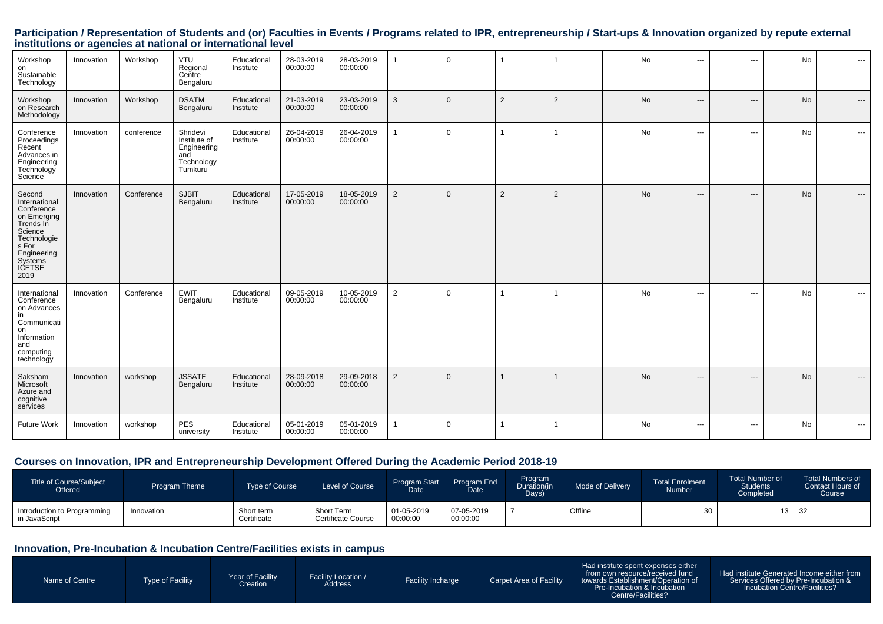| Workshop<br>on<br>Sustainable<br>Technology                                                                                                             | Innovation | Workshop   | VTU<br>Regional<br>Centre<br>Bengaluru                                  | Educational<br>Institute | 28-03-2019<br>00:00:00 | 28-03-2019<br>00:00:00 |                | 0            |   |                | No        | $\cdots$ | $\hspace{0.05cm} \ldots$ | No        | $\cdots$                                 |
|---------------------------------------------------------------------------------------------------------------------------------------------------------|------------|------------|-------------------------------------------------------------------------|--------------------------|------------------------|------------------------|----------------|--------------|---|----------------|-----------|----------|--------------------------|-----------|------------------------------------------|
| Workshop<br>on Research<br>Methodology                                                                                                                  | Innovation | Workshop   | <b>DSATM</b><br>Bengaluru                                               | Educational<br>Institute | 21-03-2019<br>00:00:00 | 23-03-2019<br>00:00:00 | 3              | $\mathbf{0}$ | 2 | $\overline{2}$ | No        | ---      | $\hspace{0.05cm} \ldots$ | No        | $\cdots$                                 |
| Conference<br>Proceedings<br>Recent<br>Advances in<br>Engineering<br>Technology<br>Science                                                              | Innovation | conference | Shridevi<br>Institute of<br>Engineering<br>and<br>Technology<br>Tumkuru | Educational<br>Institute | 26-04-2019<br>00:00:00 | 26-04-2019<br>00:00:00 |                | $\mathbf 0$  |   |                | <b>No</b> | $\cdots$ | $\hspace{0.05cm} \ldots$ | No        | $\cdots$                                 |
| Second<br>International<br>Conference<br>on Emerging<br>Trends In<br>Science<br>Technologie<br>s For<br>Engineering<br>Systems<br><b>ICETSE</b><br>2019 | Innovation | Conference | <b>SJBIT</b><br>Bengaluru                                               | Educational<br>Institute | 17-05-2019<br>00:00:00 | 18-05-2019<br>00:00:00 | 2              | $\mathbf 0$  | 2 | $\overline{2}$ | <b>No</b> | $---$    | $\hspace{0.05cm} \ldots$ | <b>No</b> | $\cdots$                                 |
| International<br>Conference<br>on Advances<br>in<br>Communicati<br>on<br>Information<br>and<br>computing<br>technology                                  | Innovation | Conference | <b>EWIT</b><br>Bengaluru                                                | Educational<br>Institute | 09-05-2019<br>00:00:00 | 10-05-2019<br>00:00:00 | $\overline{2}$ | $\Omega$     |   |                | No        | ---      | $\hspace{0.05cm} \ldots$ | No        | $\cdots$                                 |
| Saksham<br>Microsoft<br>Azure and<br>cognitive<br>services                                                                                              | Innovation | workshop   | <b>JSSATE</b><br>Bengaluru                                              | Educational<br>Institute | 28-09-2018<br>00:00:00 | 29-09-2018<br>00:00:00 | 2              | $\mathbf{0}$ |   |                | <b>No</b> | $\cdots$ | $\hspace{0.05cm} \ldots$ | <b>No</b> | $---$                                    |
| <b>Future Work</b>                                                                                                                                      | Innovation | workshop   | PES<br>university                                                       | Educational<br>Institute | 05-01-2019<br>00:00:00 | 05-01-2019<br>00:00:00 |                | 0            |   |                | No        | ---      | ---                      | <b>No</b> | $\hspace{0.05cm} \ldots \hspace{0.05cm}$ |

# **Courses on Innovation, IPR and Entrepreneurship Development Offered During the Academic Period 2018-19**

| Title of Course/Subject<br>Offered           | <b>Program Theme</b> | <b>Type of Course</b>     | Level of Course                  | Program Start<br>Date  | Program End<br>Date <sup>1</sup> | <b>Program</b><br>Duration(in<br>Days) | Mode of Delivery | <b>Total Enrolment</b><br><b>Number</b> | Total Number of<br>Students<br>Completed | Total Numbers of<br>Contact Hours of<br>Course |
|----------------------------------------------|----------------------|---------------------------|----------------------------------|------------------------|----------------------------------|----------------------------------------|------------------|-----------------------------------------|------------------------------------------|------------------------------------------------|
| Introduction to Programming<br>in JavaScript | Innovation           | Short term<br>Certificate | Short Term<br>Certificate Course | 01-05-2019<br>00:00:00 | 07-05-2019<br>00:00:00           |                                        | Offline          | ູບບ                                     | 13 <sub>1</sub>                          | 32                                             |

# **Innovation, Pre-Incubation & Incubation Centre/Facilities exists in campus**

| Name of Centre<br>Type of Facility<br><b>Facility Incharge</b><br>Carpet Area of Facility<br>Services Offered by Pre-Incubation &<br>towards Establishment/Operation of<br>Address<br><b>Creation</b><br>Incubation Centre/Facilities?<br><b>Pre-Incubation &amp; Incubation</b><br>Centre/Facilities? | Had institute spent expenses either<br>Had institute Generated Income either from<br>from own resource/received fund<br>Year of Facility<br>Facility Location / |  |
|--------------------------------------------------------------------------------------------------------------------------------------------------------------------------------------------------------------------------------------------------------------------------------------------------------|-----------------------------------------------------------------------------------------------------------------------------------------------------------------|--|
|--------------------------------------------------------------------------------------------------------------------------------------------------------------------------------------------------------------------------------------------------------------------------------------------------------|-----------------------------------------------------------------------------------------------------------------------------------------------------------------|--|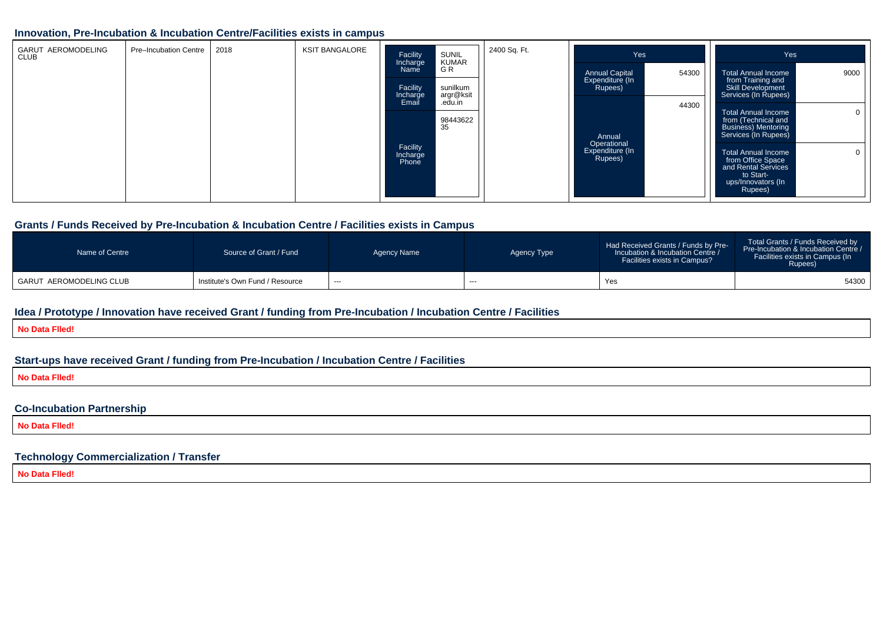#### **Innovation, Pre-Incubation & Incubation Centre/Facilities exists in campus**

| <b>GARUT AEROMODELING</b><br><b>CLUB</b> | Pre-Incubation Centre | 2018 | <b>KSIT BANGALORE</b> | Facility<br>Incharge | SUNIL<br>KUMAR        | 2400 Sq. Ft. | Yes                                      |       | Yes                                                                                                           |      |
|------------------------------------------|-----------------------|------|-----------------------|----------------------|-----------------------|--------------|------------------------------------------|-------|---------------------------------------------------------------------------------------------------------------|------|
|                                          |                       |      |                       | Name                 | GR                    |              | <b>Annual Capital</b><br>Expenditure (In | 54300 | Total Annual Income<br>from Training and                                                                      | 9000 |
|                                          |                       |      |                       | Facility<br>Incharge | sunilkum<br>argr@ksit |              | Rupees)                                  |       | <b>Skill Development</b><br>Services (In Rupees)                                                              |      |
|                                          |                       |      |                       | Email                | .edu.in               |              |                                          | 44300 | <b>Total Annual Income</b>                                                                                    |      |
|                                          |                       |      |                       |                      | 98443622<br>35        |              |                                          |       | from (Technical and<br><b>Business)</b> Mentoring                                                             |      |
|                                          |                       |      |                       | Facility             |                       |              | Annual<br>Operational                    |       | Services (In Rupees)                                                                                          |      |
|                                          |                       |      |                       | Incharge<br>Phone    |                       |              | Expenditure (In<br>Rupees)               |       | Total Annual Income<br>from Office Space<br>and Rental Services<br>to Start-<br>ups/Innovators (In<br>Rupees) |      |

#### **Grants / Funds Received by Pre-Incubation & Incubation Centre / Facilities exists in Campus**

| Name of Centre                 | Source of Grant / Fund          | Agency Name | Agency Type | Had Received Grants / Funds by Pre-<br>Incubation & Incubation Centre /<br><b>Facilities exists in Campus?</b> | Total Grants / Funds Received by<br>Pre-Incubation & Incubation Centre /<br>Facilities exists in Campus (In<br>Rupees) |
|--------------------------------|---------------------------------|-------------|-------------|----------------------------------------------------------------------------------------------------------------|------------------------------------------------------------------------------------------------------------------------|
| <b>GARUT AEROMODELING CLUB</b> | Institute's Own Fund / Resource | $--$        | $- - -$     | Yes                                                                                                            | 54300                                                                                                                  |

#### **Idea / Prototype / Innovation have received Grant / funding from Pre-Incubation / Incubation Centre / Facilities**

**No Data Flled!**

# **Start-ups have received Grant / funding from Pre-Incubation / Incubation Centre / Facilities**

**No Data Flled!**

# **Co-Incubation Partnership**

**No Data Flled!**

# **Technology Commercialization / Transfer**

**No Data Flled!**